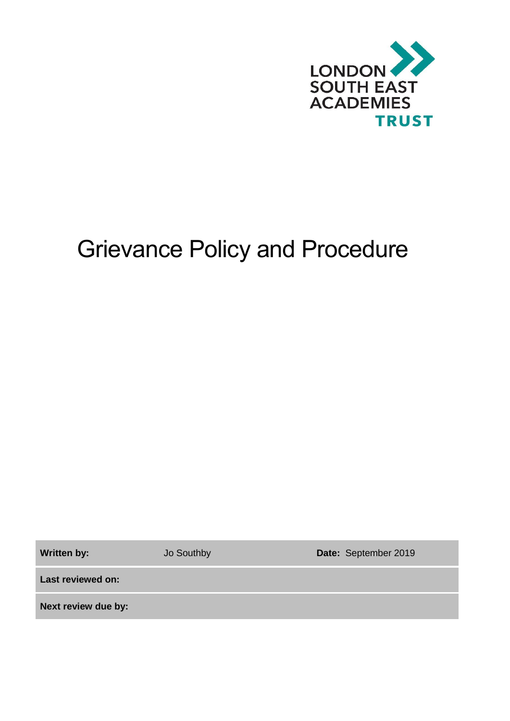

# Grievance Policy and Procedure

Written by: **Jo Southby <b>Date:** September 2019

**Last reviewed on:**

**Next review due by:**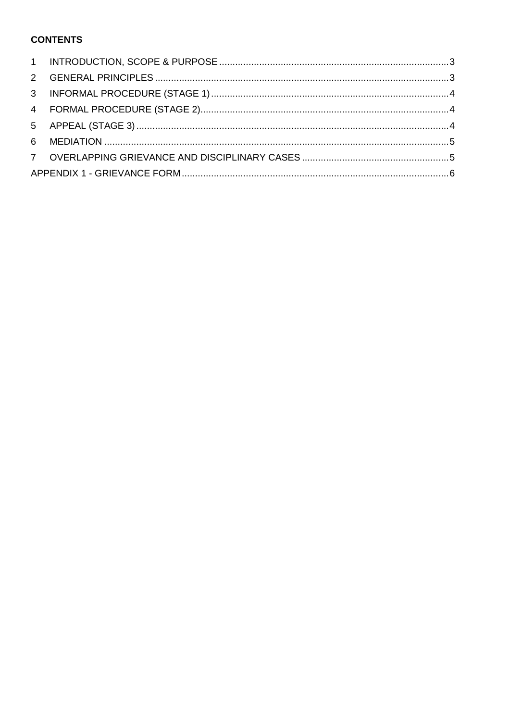# **CONTENTS**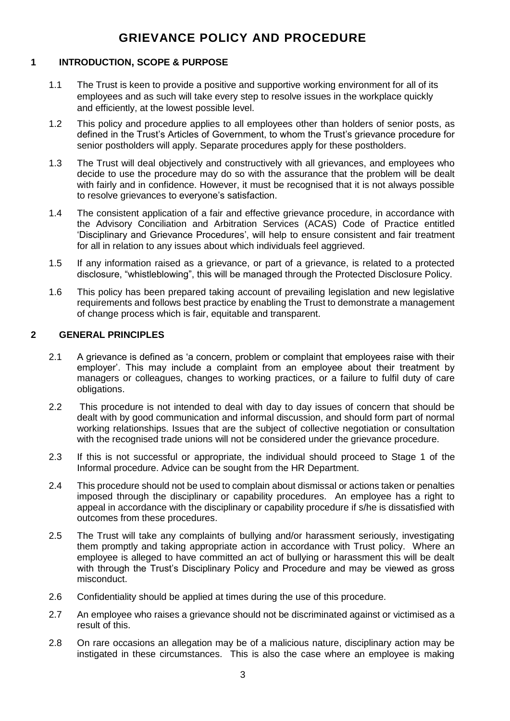# **GRIEVANCE POLICY AND PROCEDURE**

## <span id="page-2-0"></span>**1 INTRODUCTION, SCOPE & PURPOSE**

- 1.1 The Trust is keen to provide a positive and supportive working environment for all of its employees and as such will take every step to resolve issues in the workplace quickly and efficiently, at the lowest possible level.
- 1.2 This policy and procedure applies to all employees other than holders of senior posts, as defined in the Trust's Articles of Government, to whom the Trust's grievance procedure for senior postholders will apply. Separate procedures apply for these postholders.
- 1.3 The Trust will deal objectively and constructively with all grievances, and employees who decide to use the procedure may do so with the assurance that the problem will be dealt with fairly and in confidence. However, it must be recognised that it is not always possible to resolve grievances to everyone's satisfaction.
- 1.4 The consistent application of a fair and effective grievance procedure, in accordance with the Advisory Conciliation and Arbitration Services (ACAS) Code of Practice entitled 'Disciplinary and Grievance Procedures', will help to ensure consistent and fair treatment for all in relation to any issues about which individuals feel aggrieved.
- 1.5 If any information raised as a grievance, or part of a grievance, is related to a protected disclosure, "whistleblowing", this will be managed through the Protected Disclosure Policy.
- 1.6 This policy has been prepared taking account of prevailing legislation and new legislative requirements and follows best practice by enabling the Trust to demonstrate a management of change process which is fair, equitable and transparent.

#### <span id="page-2-1"></span>**2 GENERAL PRINCIPLES**

- 2.1 A grievance is defined as 'a concern, problem or complaint that employees raise with their employer'. This may include a complaint from an employee about their treatment by managers or colleagues, changes to working practices, or a failure to fulfil duty of care obligations.
- 2.2 This procedure is not intended to deal with day to day issues of concern that should be dealt with by good communication and informal discussion, and should form part of normal working relationships. Issues that are the subject of collective negotiation or consultation with the recognised trade unions will not be considered under the grievance procedure.
- 2.3 If this is not successful or appropriate, the individual should proceed to Stage 1 of the Informal procedure. Advice can be sought from the HR Department.
- 2.4 This procedure should not be used to complain about dismissal or actions taken or penalties imposed through the disciplinary or capability procedures. An employee has a right to appeal in accordance with the disciplinary or capability procedure if s/he is dissatisfied with outcomes from these procedures.
- 2.5 The Trust will take any complaints of bullying and/or harassment seriously, investigating them promptly and taking appropriate action in accordance with Trust policy. Where an employee is alleged to have committed an act of bullying or harassment this will be dealt with through the Trust's Disciplinary Policy and Procedure and may be viewed as gross misconduct.
- 2.6 Confidentiality should be applied at times during the use of this procedure.
- 2.7 An employee who raises a grievance should not be discriminated against or victimised as a result of this.
- 2.8 On rare occasions an allegation may be of a malicious nature, disciplinary action may be instigated in these circumstances. This is also the case where an employee is making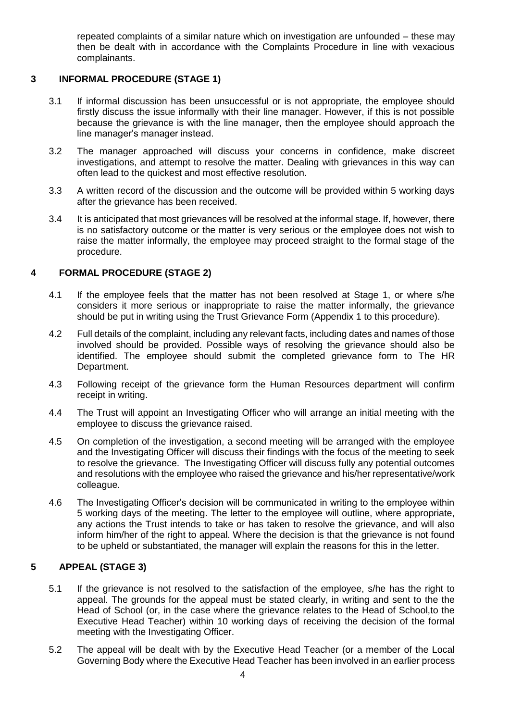repeated complaints of a similar nature which on investigation are unfounded – these may then be dealt with in accordance with the Complaints Procedure in line with vexacious complainants.

# <span id="page-3-0"></span>**3 INFORMAL PROCEDURE (STAGE 1)**

- 3.1 If informal discussion has been unsuccessful or is not appropriate, the employee should firstly discuss the issue informally with their line manager. However, if this is not possible because the grievance is with the line manager, then the employee should approach the line manager's manager instead.
- 3.2 The manager approached will discuss your concerns in confidence, make discreet investigations, and attempt to resolve the matter. Dealing with grievances in this way can often lead to the quickest and most effective resolution.
- 3.3 A written record of the discussion and the outcome will be provided within 5 working days after the grievance has been received.
- 3.4 It is anticipated that most grievances will be resolved at the informal stage. If, however, there is no satisfactory outcome or the matter is very serious or the employee does not wish to raise the matter informally, the employee may proceed straight to the formal stage of the procedure.

# <span id="page-3-1"></span>**4 FORMAL PROCEDURE (STAGE 2)**

- 4.1 If the employee feels that the matter has not been resolved at Stage 1, or where s/he considers it more serious or inappropriate to raise the matter informally, the grievance should be put in writing using the Trust Grievance Form (Appendix 1 to this procedure).
- 4.2 Full details of the complaint, including any relevant facts, including dates and names of those involved should be provided. Possible ways of resolving the grievance should also be identified. The employee should submit the completed grievance form to The HR Department.
- 4.3 Following receipt of the grievance form the Human Resources department will confirm receipt in writing.
- 4.4 The Trust will appoint an Investigating Officer who will arrange an initial meeting with the employee to discuss the grievance raised.
- 4.5 On completion of the investigation, a second meeting will be arranged with the employee and the Investigating Officer will discuss their findings with the focus of the meeting to seek to resolve the grievance. The Investigating Officer will discuss fully any potential outcomes and resolutions with the employee who raised the grievance and his/her representative/work colleague.
- 4.6 The Investigating Officer's decision will be communicated in writing to the employee within 5 working days of the meeting. The letter to the employee will outline, where appropriate, any actions the Trust intends to take or has taken to resolve the grievance, and will also inform him/her of the right to appeal. Where the decision is that the grievance is not found to be upheld or substantiated, the manager will explain the reasons for this in the letter.

## <span id="page-3-2"></span>**5 APPEAL (STAGE 3)**

- 5.1 If the grievance is not resolved to the satisfaction of the employee, s/he has the right to appeal. The grounds for the appeal must be stated clearly, in writing and sent to the the Head of School (or, in the case where the grievance relates to the Head of School,to the Executive Head Teacher) within 10 working days of receiving the decision of the formal meeting with the Investigating Officer.
- 5.2 The appeal will be dealt with by the Executive Head Teacher (or a member of the Local Governing Body where the Executive Head Teacher has been involved in an earlier process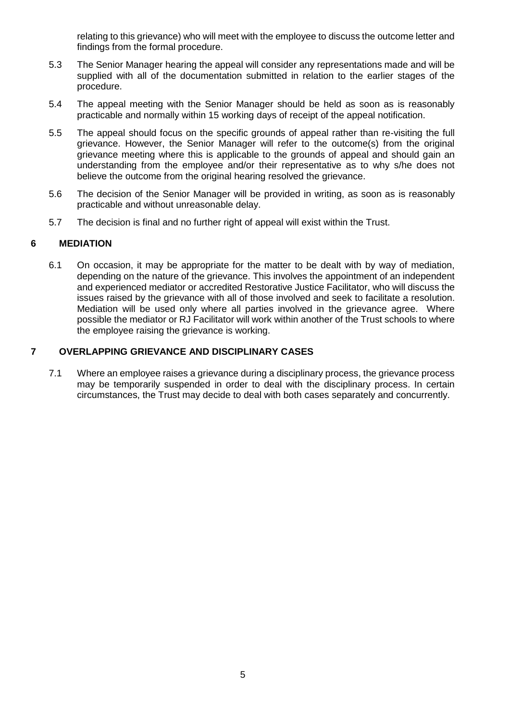relating to this grievance) who will meet with the employee to discuss the outcome letter and findings from the formal procedure.

- 5.3 The Senior Manager hearing the appeal will consider any representations made and will be supplied with all of the documentation submitted in relation to the earlier stages of the procedure.
- 5.4 The appeal meeting with the Senior Manager should be held as soon as is reasonably practicable and normally within 15 working days of receipt of the appeal notification.
- 5.5 The appeal should focus on the specific grounds of appeal rather than re-visiting the full grievance. However, the Senior Manager will refer to the outcome(s) from the original grievance meeting where this is applicable to the grounds of appeal and should gain an understanding from the employee and/or their representative as to why s/he does not believe the outcome from the original hearing resolved the grievance.
- 5.6 The decision of the Senior Manager will be provided in writing, as soon as is reasonably practicable and without unreasonable delay.
- 5.7 The decision is final and no further right of appeal will exist within the Trust.

#### <span id="page-4-0"></span>**6 MEDIATION**

6.1 On occasion, it may be appropriate for the matter to be dealt with by way of mediation, depending on the nature of the grievance. This involves the appointment of an independent and experienced mediator or accredited Restorative Justice Facilitator, who will discuss the issues raised by the grievance with all of those involved and seek to facilitate a resolution. Mediation will be used only where all parties involved in the grievance agree. Where possible the mediator or RJ Facilitator will work within another of the Trust schools to where the employee raising the grievance is working.

#### <span id="page-4-1"></span>**7 OVERLAPPING GRIEVANCE AND DISCIPLINARY CASES**

7.1 Where an employee raises a grievance during a disciplinary process, the grievance process may be temporarily suspended in order to deal with the disciplinary process. In certain circumstances, the Trust may decide to deal with both cases separately and concurrently.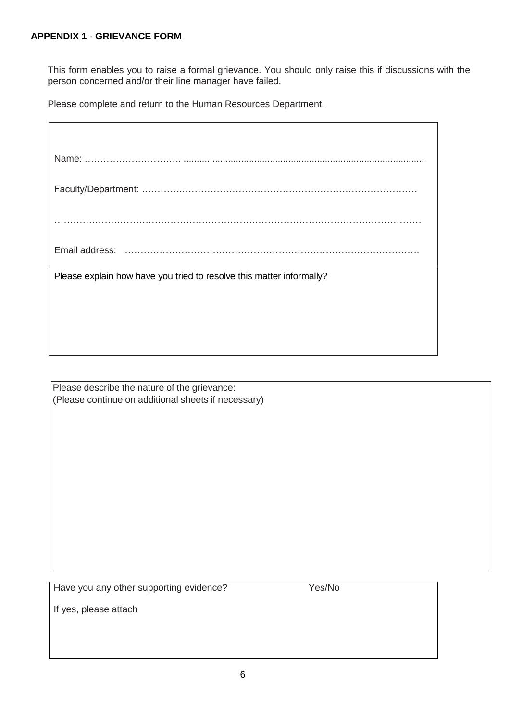<span id="page-5-0"></span>This form enables you to raise a formal grievance. You should only raise this if discussions with the person concerned and/or their line manager have failed.

Please complete and return to the Human Resources Department.

| Please explain how have you tried to resolve this matter informally? |  |  |
|----------------------------------------------------------------------|--|--|
|                                                                      |  |  |
|                                                                      |  |  |
|                                                                      |  |  |

Please describe the nature of the grievance: (Please continue on additional sheets if necessary)

Have you any other supporting evidence? Yes/No

If yes, please attach